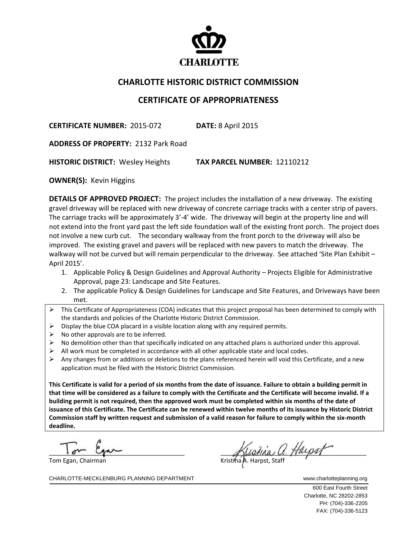

## **CHARLOTTE HISTORIC DISTRICT COMMISSION**

## **CERTIFICATE OF APPROPRIATENESS**

**CERTIFICATE NUMBER:** 2015‐072 **DATE:** 8 April 2015

**ADDRESS OF PROPERTY:** 2132 Park Road 

**HISTORIC DISTRICT:** Wesley Heights **TAX PARCEL NUMBER:** 12110212

**OWNER(S):** Kevin Higgins

**DETAILS OF APPROVED PROJECT:** The project includes the installation of a new driveway. The existing gravel driveway will be replaced with new driveway of concrete carriage tracks with a center strip of pavers. The carriage tracks will be approximately 3'‐4' wide. The driveway will begin at the property line and will not extend into the front yard past the left side foundation wall of the existing front porch. The project does not involve a new curb cut. The secondary walkway from the front porch to the driveway will also be improved. The existing gravel and pavers will be replaced with new pavers to match the driveway. The walkway will not be curved but will remain perpendicular to the driveway. See attached 'Site Plan Exhibit -April 2015'.

- 1. Applicable Policy & Design Guidelines and Approval Authority Projects Eligible for Administrative Approval, page 23: Landscape and Site Features.
- 2. The applicable Policy & Design Guidelines for Landscape and Site Features, and Driveways have been met.
- $\triangleright$  This Certificate of Appropriateness (COA) indicates that this project proposal has been determined to comply with the standards and policies of the Charlotte Historic District Commission.
- $\triangleright$  Display the blue COA placard in a visible location along with any required permits.
- $\triangleright$  No other approvals are to be inferred.
- $\triangleright$  No demolition other than that specifically indicated on any attached plans is authorized under this approval.
- $\triangleright$  All work must be completed in accordance with all other applicable state and local codes.
- Any changes from or additions or deletions to the plans referenced herein will void this Certificate, and a new application must be filed with the Historic District Commission.

This Certificate is valid for a period of six months from the date of issuance. Failure to obtain a building permit in that time will be considered as a failure to comply with the Certificate and the Certificate will become invalid. If a building permit is not required, then the approved work must be completed within six months of the date of issuance of this Certificate. The Certificate can be renewed within twelve months of its issuance by Historic District Commission staff by written request and submission of a valid reason for failure to comply within the six-month **deadline.**

 $\Gamma$  6  $\mu$  .  $\Omega$ 

Tom Egan, Chairman

 $\mathcal{A}$ ustina  $\mathcal{U}$ . Hugost

CHARLOTTE-MECKLENBURG PLANNING DEPARTMENT WWW.charlotteplanning.org

600 East Fourth Street Charlotte, NC 28202-2853 PH: (704)-336-2205 FAX: (704)-336-5123